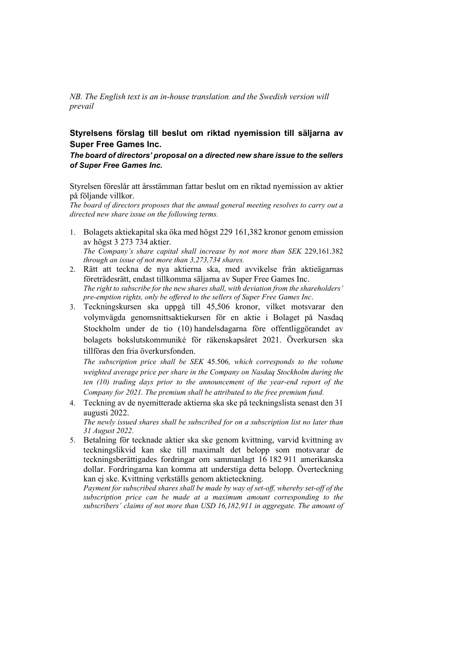*NB. The English text is an in-house translation, and the Swedish version will prevail*

## **Styrelsens förslag till beslut om riktad nyemission till säljarna av Super Free Games Inc.**

*The board of directors' proposal on a directed new share issue to the sellers of Super Free Games Inc.*

Styrelsen föreslår att årsstämman fattar beslut om en riktad nyemission av aktier på följande villkor.

*The board of directors proposes that the annual general meeting resolves to carry out a directed new share issue on the following terms.* 

- 1. Bolagets aktiekapital ska öka med högst 229 161,382 kronor genom emission av högst 3 273 734 aktier. *The Company's share capital shall increase by not more than SEK* 229,161.382 *through an issue of not more than 3,273,734 shares.*
- 2. Rätt att teckna de nya aktierna ska, med avvikelse från aktieägarnas företrädesrätt, endast tillkomma säljarna av Super Free Games Inc. *The right to subscribe for the new shares shall, with deviation from the shareholders' pre-emption rights, only be offered to the sellers of Super Free Games Inc*.
- 3. Teckningskursen ska uppgå till 45,506 kronor, vilket motsvarar den volymvägda genomsnittsaktiekursen för en aktie i Bolaget på Nasdaq Stockholm under de tio (10) handelsdagarna före offentliggörandet av bolagets bokslutskommuniké för räkenskapsåret 2021. Överkursen ska tillföras den fria överkursfonden.

*The subscription price shall be SEK* 45.506*, which corresponds to the volume weighted average price per share in the Company on Nasdaq Stockholm during the ten (10) trading days prior to the announcement of the year-end report of the Company for 2021. The premium shall be attributed to the free premium fund.*

- 4. Teckning av de nyemitterade aktierna ska ske på teckningslista senast den 31 augusti 2022. *The newly issued shares shall be subscribed for on a subscription list no later than 31 August 2022.*
- 5. Betalning för tecknade aktier ska ske genom kvittning, varvid kvittning av teckningslikvid kan ske till maximalt det belopp som motsvarar de teckningsberättigades fordringar om sammanlagt 16 182 911 amerikanska dollar. Fordringarna kan komma att understiga detta belopp. Överteckning kan ej ske. Kvittning verkställs genom aktieteckning.

*Payment for subscribed shares shall be made by way of set-off, whereby set-off of the subscription price can be made at a maximum amount corresponding to the subscribers' claims of not more than USD 16,182,911 in aggregate. The amount of*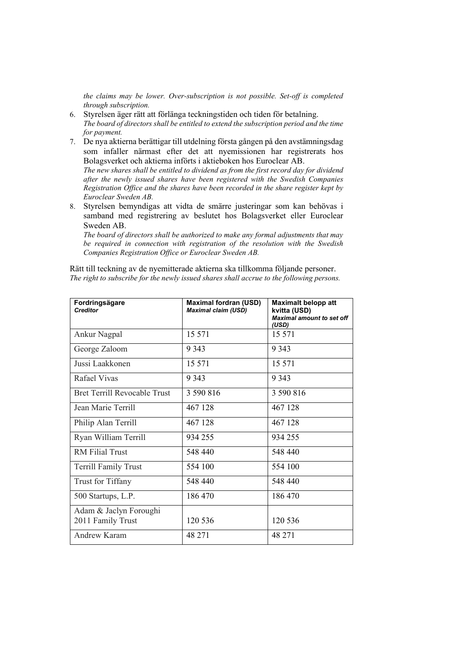*the claims may be lower. Over-subscription is not possible. Set-off is completed through subscription.* 

- 6. Styrelsen äger rätt att förlänga teckningstiden och tiden för betalning. *The board of directors shall be entitled to extend the subscription period and the time for payment.*
- 7. De nya aktierna berättigar till utdelning första gången på den avstämningsdag som infaller närmast efter det att nyemissionen har registrerats hos Bolagsverket och aktierna införts i aktieboken hos Euroclear AB. *The new shares shall be entitled to dividend as from the first record day for dividend*

*after the newly issued shares have been registered with the Swedish Companies Registration Office and the shares have been recorded in the share register kept by Euroclear Sweden AB.* 

8. Styrelsen bemyndigas att vidta de smärre justeringar som kan behövas i samband med registrering av beslutet hos Bolagsverket eller Euroclear Sweden AB.

*The board of directors shall be authorized to make any formal adjustments that may be required in connection with registration of the resolution with the Swedish Companies Registration Office or Euroclear Sweden AB.* 

Rätt till teckning av de nyemitterade aktierna ska tillkomma följande personer. *The right to subscribe for the newly issued shares shall accrue to the following persons.* 

| Fordringsägare<br><b>Creditor</b>           | <b>Maximal fordran (USD)</b><br><b>Maximal claim (USD)</b> | <b>Maximalt belopp att</b><br>kvitta (USD)<br><b>Maximal amount to set off</b><br>(USD) |
|---------------------------------------------|------------------------------------------------------------|-----------------------------------------------------------------------------------------|
| Ankur Nagpal                                | 15 571                                                     | 15 571                                                                                  |
| George Zaloom                               | 9 3 4 3                                                    | 9 3 4 3                                                                                 |
| Jussi Laakkonen                             | 15 571                                                     | 15 571                                                                                  |
| Rafael Vivas                                | 9 3 4 3                                                    | 9 3 4 3                                                                                 |
| <b>Bret Terrill Revocable Trust</b>         | 3 590 816                                                  | 3 590 816                                                                               |
| Jean Marie Terrill                          | 467 128                                                    | 467 128                                                                                 |
| Philip Alan Terrill                         | 467 128                                                    | 467 128                                                                                 |
| Ryan William Terrill                        | 934 255                                                    | 934 255                                                                                 |
| <b>RM</b> Filial Trust                      | 548 440                                                    | 548 440                                                                                 |
| <b>Terrill Family Trust</b>                 | 554 100                                                    | 554 100                                                                                 |
| <b>Trust for Tiffany</b>                    | 548 440                                                    | 548 440                                                                                 |
| 500 Startups, L.P.                          | 186470                                                     | 186470                                                                                  |
| Adam & Jaclyn Foroughi<br>2011 Family Trust | 120 536                                                    | 120 536                                                                                 |
| Andrew Karam                                | 48 271                                                     | 48 271                                                                                  |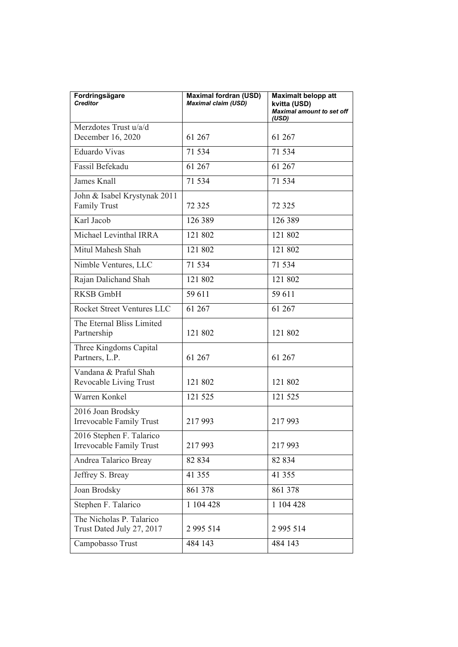| Fordringsägare<br><b>Creditor</b>                     | <b>Maximal fordran (USD)</b><br><b>Maximal claim (USD)</b> | <b>Maximalt belopp att</b><br>kvitta (USD)<br><b>Maximal amount to set off</b><br>(USD) |
|-------------------------------------------------------|------------------------------------------------------------|-----------------------------------------------------------------------------------------|
| Merzdotes Trust u/a/d                                 |                                                            |                                                                                         |
| December 16, 2020                                     | 61 267                                                     | 61 267                                                                                  |
| <b>Eduardo Vivas</b>                                  | 71 534                                                     | 71 534                                                                                  |
| Fassil Befekadu                                       | 61 267                                                     | 61 267                                                                                  |
| James Knall                                           | 71 534                                                     | 71 534                                                                                  |
| John & Isabel Krystynak 2011<br><b>Family Trust</b>   | 72 3 25                                                    | 72 3 25                                                                                 |
| Karl Jacob                                            | 126 389                                                    | 126 389                                                                                 |
| Michael Levinthal IRRA                                | 121 802                                                    | 121 802                                                                                 |
| Mitul Mahesh Shah                                     | 121 802                                                    | 121 802                                                                                 |
| Nimble Ventures, LLC                                  | 71 534                                                     | 71 534                                                                                  |
| Rajan Dalichand Shah                                  | 121 802                                                    | 121 802                                                                                 |
| <b>RKSB GmbH</b>                                      | 59 611                                                     | 59 611                                                                                  |
| Rocket Street Ventures LLC                            | 61 267                                                     | 61 267                                                                                  |
| The Eternal Bliss Limited<br>Partnership              | 121 802                                                    | 121 802                                                                                 |
| Three Kingdoms Capital<br>Partners, L.P.              | 61 267                                                     | 61 267                                                                                  |
| Vandana & Praful Shah<br>Revocable Living Trust       | 121 802                                                    | 121 802                                                                                 |
| Warren Konkel                                         | 121 525                                                    | 121 525                                                                                 |
| 2016 Joan Brodsky<br>Irrevocable Family Trust         | 217993                                                     | 217993                                                                                  |
| 2016 Stephen F. Talarico<br>Irrevocable Family Trust  | 217993                                                     | 217993                                                                                  |
| Andrea Talarico Breay                                 | 82 834                                                     | 82 834                                                                                  |
| Jeffrey S. Breay                                      | 41 355                                                     | 41 355                                                                                  |
| Joan Brodsky                                          | 861 378                                                    | 861 378                                                                                 |
| Stephen F. Talarico                                   | 1 104 428                                                  | 1 104 428                                                                               |
| The Nicholas P. Talarico<br>Trust Dated July 27, 2017 | 2 995 514                                                  | 2 9 9 5 5 1 4                                                                           |
| Campobasso Trust                                      | 484 143                                                    | 484 143                                                                                 |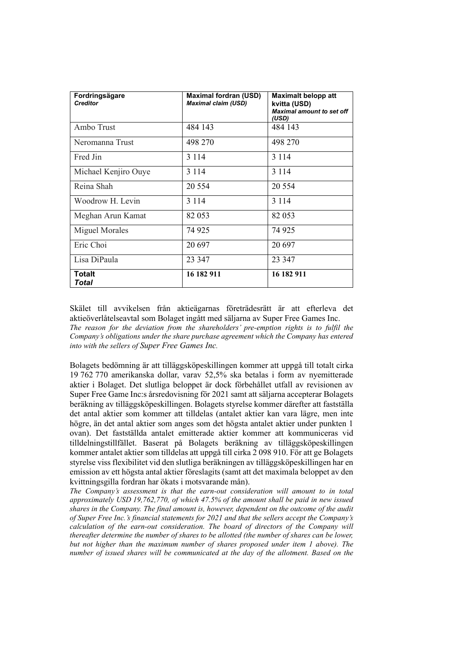| Fordringsägare<br><b>Creditor</b> | <b>Maximal fordran (USD)</b><br><b>Maximal claim (USD)</b> | <b>Maximalt belopp att</b><br>kvitta (USD)<br>Maximal amount to set off<br>(USD) |
|-----------------------------------|------------------------------------------------------------|----------------------------------------------------------------------------------|
| Ambo Trust                        | 484 143                                                    | 484 143                                                                          |
| Neromanna Trust                   | 498 270                                                    | 498 270                                                                          |
| Fred Jin                          | 3 1 1 4                                                    | 3 1 1 4                                                                          |
| Michael Kenjiro Ouye              | 3 1 1 4                                                    | 3 1 1 4                                                                          |
| Reina Shah                        | 20 5 5 4                                                   | 20 5 5 4                                                                         |
| Woodrow H. Levin                  | 3 1 1 4                                                    | 3 1 1 4                                                                          |
| Meghan Arun Kamat                 | 82 053                                                     | 82 053                                                                           |
| Miguel Morales                    | 74 925                                                     | 74 925                                                                           |
| Eric Choi                         | 20 697                                                     | 20 697                                                                           |
| Lisa DiPaula                      | 23 347                                                     | 23 347                                                                           |
| <b>Totalt</b><br>Total            | 16 182 911                                                 | 16 182 911                                                                       |

Skälet till avvikelsen från aktieägarnas företrädesrätt är att efterleva det aktieöverlåtelseavtal som Bolaget ingått med säljarna av Super Free Games Inc. *The reason for the deviation from the shareholders' pre-emption rights is to fulfil the Company's obligations under the share purchase agreement which the Company has entered into with the sellers of Super Free Games Inc.*

Bolagets bedömning är att tilläggsköpeskillingen kommer att uppgå till totalt cirka 19 762 770 amerikanska dollar, varav 52,5% ska betalas i form av nyemitterade aktier i Bolaget. Det slutliga beloppet är dock förbehållet utfall av revisionen av Super Free Game Inc:s årsredovisning för 2021 samt att säljarna accepterar Bolagets beräkning av tilläggsköpeskillingen. Bolagets styrelse kommer därefter att fastställa det antal aktier som kommer att tilldelas (antalet aktier kan vara lägre, men inte högre, än det antal aktier som anges som det högsta antalet aktier under punkten 1 ovan). Det fastställda antalet emitterade aktier kommer att kommuniceras vid tilldelningstillfället. Baserat på Bolagets beräkning av tilläggsköpeskillingen kommer antalet aktier som tilldelas att uppgå till cirka 2 098 910. För att ge Bolagets styrelse viss flexibilitet vid den slutliga beräkningen av tilläggsköpeskillingen har en emission av ett högsta antal aktier föreslagits (samt att det maximala beloppet av den kvittningsgilla fordran har ökats i motsvarande mån).

*The Company's assessment is that the earn-out consideration will amount to in total approximately USD 19,762,770, of which 47.5% of the amount shall be paid in new issued shares in the Company. The final amount is, however, dependent on the outcome of the audit of Super Free Inc.'s financial statements for 2021 and that the sellers accept the Company's calculation of the earn-out consideration. The board of directors of the Company will thereafter determine the number of shares to be allotted (the number of shares can be lower, but not higher than the maximum number of shares proposed under item 1 above). The number of issued shares will be communicated at the day of the allotment. Based on the*